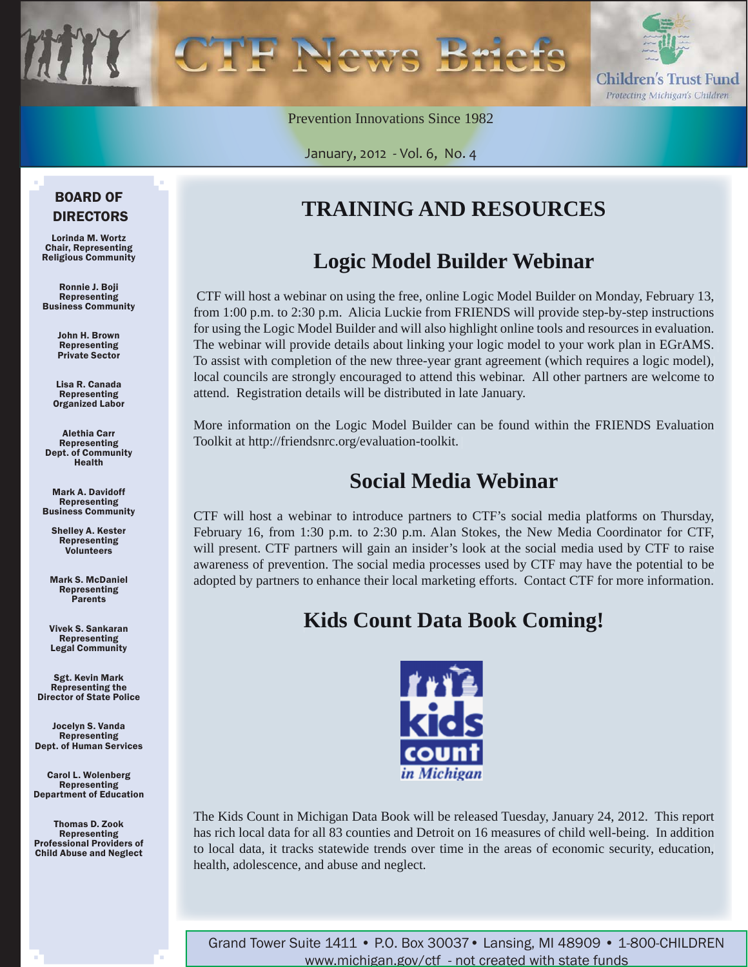

Prevention Innovations Since 1982

January, 2012 - Vol. 6, No. 4

#### BOARD OF DIRECTORS

Lorinda M. Wortz Chair, Representing Religious Community

Ronnie J. Boji Representing Business Community

> John H. Brown Representing Private Sector

Lisa R. Canada Representing Organized Labor

Alethia Carr Representing Dept. of Community Health

Mark A. Davidoff Representing Business Community

Shelley A. Kester Representing Volunteers

Mark S. McDaniel Representing Parents

Vivek S. Sankaran Representing Legal Community

Sgt. Kevin Mark Representing the Director of State Police

Jocelyn S. Vanda Representing Dept. of Human Services

Carol L. Wolenberg Representing Department of Education

Thomas D. Zook Representing Professional Providers of Child Abuse and Neglect

## **TRAINING AND RESOURCES**

## **Logic Model Builder Webinar**

 CTF will host a webinar on using the free, online Logic Model Builder on Monday, February 13, from 1:00 p.m. to 2:30 p.m. Alicia Luckie from FRIENDS will provide step-by-step instructions for using the Logic Model Builder and will also highlight online tools and resources in evaluation. The webinar will provide details about linking your logic model to your work plan in EGrAMS. To assist with completion of the new three-year grant agreement (which requires a logic model), local councils are strongly encouraged to attend this webinar. All other partners are welcome to attend. Registration details will be distributed in late January.

More information on the Logic Model Builder can be found within the FRIENDS Evaluation Toolkit at http://friendsnrc.org/evaluation-toolkit.

### **Social Media Webinar**

CTF will host a webinar to introduce partners to CTF's social media platforms on Thursday, February 16, from 1:30 p.m. to 2:30 p.m. Alan Stokes, the New Media Coordinator for CTF, will present. CTF partners will gain an insider's look at the social media used by CTF to raise awareness of prevention. The social media processes used by CTF may have the potential to be adopted by partners to enhance their local marketing efforts. Contact CTF for more information.

## **Kids Count Data Book Coming!**



The Kids Count in Michigan Data Book will be released Tuesday, January 24, 2012. This report has rich local data for all 83 counties and Detroit on 16 measures of child well-being. In addition to local data, it tracks statewide trends over time in the areas of economic security, education, health, adolescence, and abuse and neglect.

Grand Tower Suite 1411 • P.O. Box 30037• Lansing, MI 48909 • 1-800-CHILDREN www.michigan.gov/ctf - not created with state funds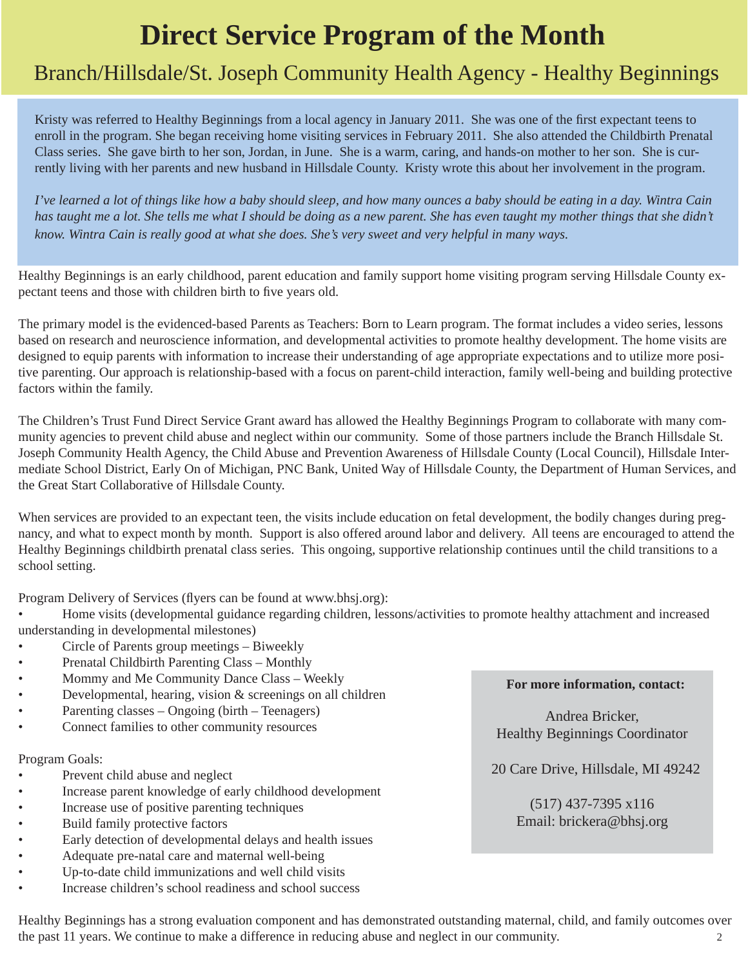# **Direct Service Program of the Month**

## Branch/Hillsdale/St. Joseph Community Health Agency - Healthy Beginnings

Kristy was referred to Healthy Beginnings from a local agency in January 2011. She was one of the first expectant teens to enroll in the program. She began receiving home visiting services in February 2011. She also attended the Childbirth Prenatal Class series. She gave birth to her son, Jordan, in June. She is a warm, caring, and hands-on mother to her son. She is currently living with her parents and new husband in Hillsdale County. Kristy wrote this about her involvement in the program.

*I've learned a lot of things like how a baby should sleep, and how many ounces a baby should be eating in a day. Wintra Cain*  has taught me a lot. She tells me what I should be doing as a new parent. She has even taught my mother things that she didn't *know. Wintra Cain is really good at what she does. She's very sweet and very helpful in many ways.*

Healthy Beginnings is an early childhood, parent education and family support home visiting program serving Hillsdale County expectant teens and those with children birth to five years old.

The primary model is the evidenced-based Parents as Teachers: Born to Learn program. The format includes a video series, lessons based on research and neuroscience information, and developmental activities to promote healthy development. The home visits are designed to equip parents with information to increase their understanding of age appropriate expectations and to utilize more positive parenting. Our approach is relationship-based with a focus on parent-child interaction, family well-being and building protective factors within the family.

The Children's Trust Fund Direct Service Grant award has allowed the Healthy Beginnings Program to collaborate with many community agencies to prevent child abuse and neglect within our community. Some of those partners include the Branch Hillsdale St. Joseph Community Health Agency, the Child Abuse and Prevention Awareness of Hillsdale County (Local Council), Hillsdale Intermediate School District, Early On of Michigan, PNC Bank, United Way of Hillsdale County, the Department of Human Services, and the Great Start Collaborative of Hillsdale County.

When services are provided to an expectant teen, the visits include education on fetal development, the bodily changes during pregnancy, and what to expect month by month. Support is also offered around labor and delivery. All teens are encouraged to attend the Healthy Beginnings childbirth prenatal class series. This ongoing, supportive relationship continues until the child transitions to a school setting.

Program Delivery of Services (flyers can be found at www.bhsj.org):

- Home visits (developmental guidance regarding children, lessons/activities to promote healthy attachment and increased understanding in developmental milestones)
- Circle of Parents group meetings Biweekly
- Prenatal Childbirth Parenting Class Monthly
- Mommy and Me Community Dance Class Weekly
- Developmental, hearing, vision  $&$  screenings on all children
- Parenting classes Ongoing (birth Teenagers)
- Connect families to other community resources

#### Program Goals:

- Prevent child abuse and neglect
- Increase parent knowledge of early childhood development
- Increase use of positive parenting techniques
- Build family protective factors
- Early detection of developmental delays and health issues
- Adequate pre-natal care and maternal well-being
- Up-to-date child immunizations and well child visits
- Increase children's school readiness and school success

#### **For more information, contact:**

Andrea Bricker, Healthy Beginnings Coordinator

20 Care Drive, Hillsdale, MI 49242

(517) 437-7395 x116 Email: brickera@bhsj.org

Healthy Beginnings has a strong evaluation component and has demonstrated outstanding maternal, child, and family outcomes over the past 11 years. We continue to make a difference in reducing abuse and neglect in our community. 2